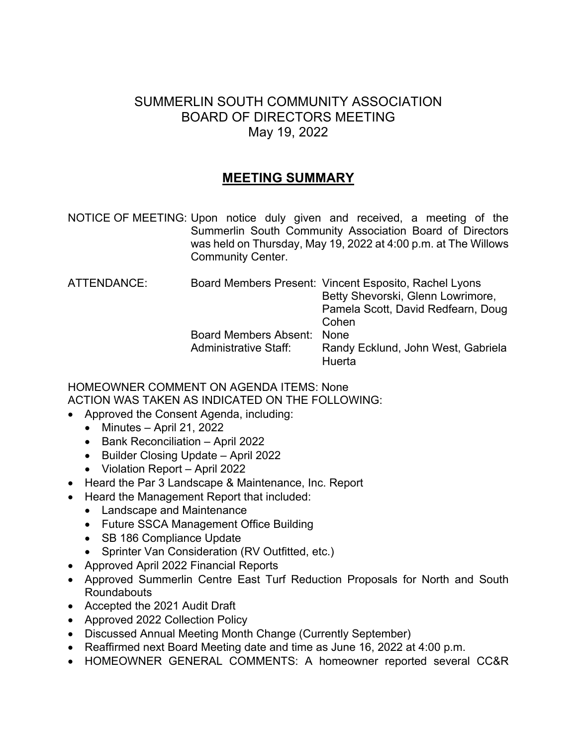## SUMMERLIN SOUTH COMMUNITY ASSOCIATION BOARD OF DIRECTORS MEETING May 19, 2022

## **MEETING SUMMARY**

NOTICE OF MEETING: Upon notice duly given and received, a meeting of the Summerlin South Community Association Board of Directors was held on Thursday, May 19, 2022 at 4:00 p.m. at The Willows Community Center.

| ATTENDANCE:<br>Administrative Staff: | Board Members Present: Vincent Esposito, Rachel Lyons |
|--------------------------------------|-------------------------------------------------------|
|                                      | Betty Shevorski, Glenn Lowrimore,                     |
|                                      | Pamela Scott, David Redfearn, Doug                    |
|                                      | Cohen                                                 |
|                                      |                                                       |
|                                      | Randy Ecklund, John West, Gabriela<br>Huerta          |
|                                      | Board Members Absent: None                            |

## HOMEOWNER COMMENT ON AGENDA ITEMS: None ACTION WAS TAKEN AS INDICATED ON THE FOLLOWING:

- Approved the Consent Agenda, including:
	- $\bullet$  Minutes April 21, 2022
	- Bank Reconciliation April 2022
	- Builder Closing Update April 2022
	- Violation Report April 2022
- Heard the Par 3 Landscape & Maintenance, Inc. Report
- Heard the Management Report that included:
	- Landscape and Maintenance
	- Future SSCA Management Office Building
	- SB 186 Compliance Update
	- Sprinter Van Consideration (RV Outfitted, etc.)
- Approved April 2022 Financial Reports
- Approved Summerlin Centre East Turf Reduction Proposals for North and South Roundabouts
- Accepted the 2021 Audit Draft
- Approved 2022 Collection Policy
- Discussed Annual Meeting Month Change (Currently September)
- Reaffirmed next Board Meeting date and time as June 16, 2022 at 4:00 p.m.
- HOMEOWNER GENERAL COMMENTS: A homeowner reported several CC&R